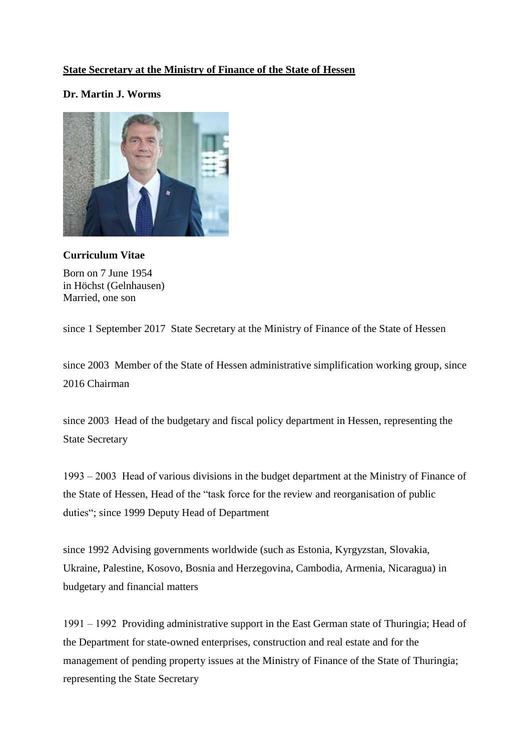## **State Secretary at the Ministry of Finance of the State of Hessen**

## **Dr. Martin J. Worms**



## **Curriculum Vitae**

Born on 7 June 1954 in Höchst (Gelnhausen) Married, one son

since 1 September 2017 State Secretary at the Ministry of Finance of the State of Hessen

since 2003 Member of the State of Hessen administrative simplification working group, since 2016 Chairman

since 2003 Head of the budgetary and fiscal policy department in Hessen, representing the State Secretary

1993 ‒ 2003 Head of various divisions in the budget department at the Ministry of Finance of the State of Hessen, Head of the "task force for the review and reorganisation of public duties"; since 1999 Deputy Head of Department

since 1992 Advising governments worldwide (such as Estonia, Kyrgyzstan, Slovakia, Ukraine, Palestine, Kosovo, Bosnia and Herzegovina, Cambodia, Armenia, Nicaragua) in budgetary and financial matters

1991 ‒ 1992 Providing administrative support in the East German state of Thuringia; Head of the Department for state-owned enterprises, construction and real estate and [for](http://de.pons.com/%C3%BCbersetzung/englisch-deutsch/for) [the](http://de.pons.com/%C3%BCbersetzung/englisch-deutsch/the) [management](http://de.pons.com/%C3%BCbersetzung/englisch-deutsch/management) [of](http://de.pons.com/%C3%BCbersetzung/englisch-deutsch/of) [pending](http://de.pons.com/%C3%BCbersetzung/englisch-deutsch/pending) [property](http://de.pons.com/%C3%BCbersetzung/englisch-deutsch/property) [issues](http://de.pons.com/%C3%BCbersetzung/englisch-deutsch/issues) at the Ministry of Finance of the State of Thuringia; representing the State Secretary